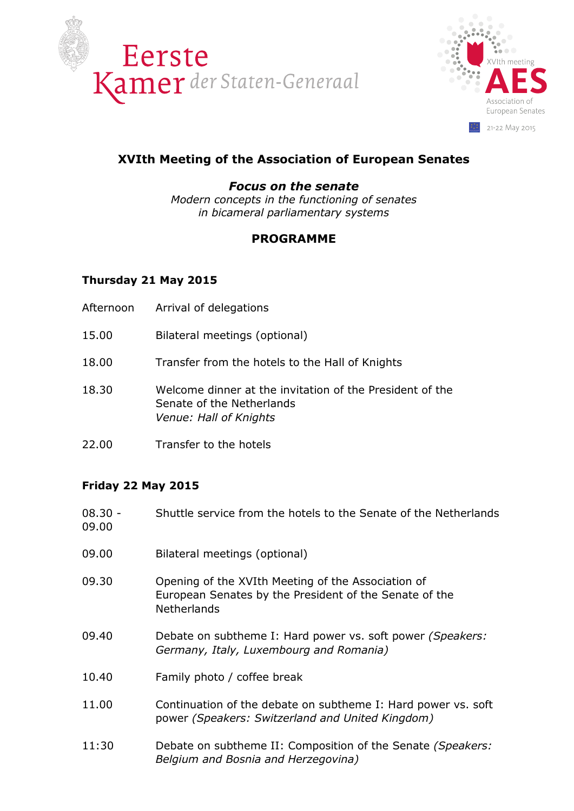



# **XVIth Meeting of the Association of European Senates**

#### *Focus on the senate*

*Modern concepts in the functioning of senates in bicameral parliamentary systems* 

## **PROGRAMME**

### **Thursday 21 May 2015**

- Afternoon Arrival of delegations
- 15.00 Bilateral meetings (optional)
- 18.00 Transfer from the hotels to the Hall of Knights
- 18.30 Welcome dinner at the invitation of the President of the Senate of the Netherlands *Venue: Hall of Knights*
- 22.00 Transfer to the hotels

### **Friday 22 May 2015**

| $08.30 -$<br>09.00 | Shuttle service from the hotels to the Senate of the Netherlands                                                            |
|--------------------|-----------------------------------------------------------------------------------------------------------------------------|
| 09.00              | Bilateral meetings (optional)                                                                                               |
| 09.30              | Opening of the XVIth Meeting of the Association of<br>European Senates by the President of the Senate of the<br>Netherlands |
| 09.40              | Debate on subtheme I: Hard power vs. soft power (Speakers:<br>Germany, Italy, Luxembourg and Romania)                       |
| 10.40              | Family photo / coffee break                                                                                                 |
| 11.00              | Continuation of the debate on subtheme I: Hard power vs. soft<br>power (Speakers: Switzerland and United Kingdom)           |
| 11:30              | Debate on subtheme II: Composition of the Senate (Speakers:<br>Belgium and Bosnia and Herzegovina)                          |